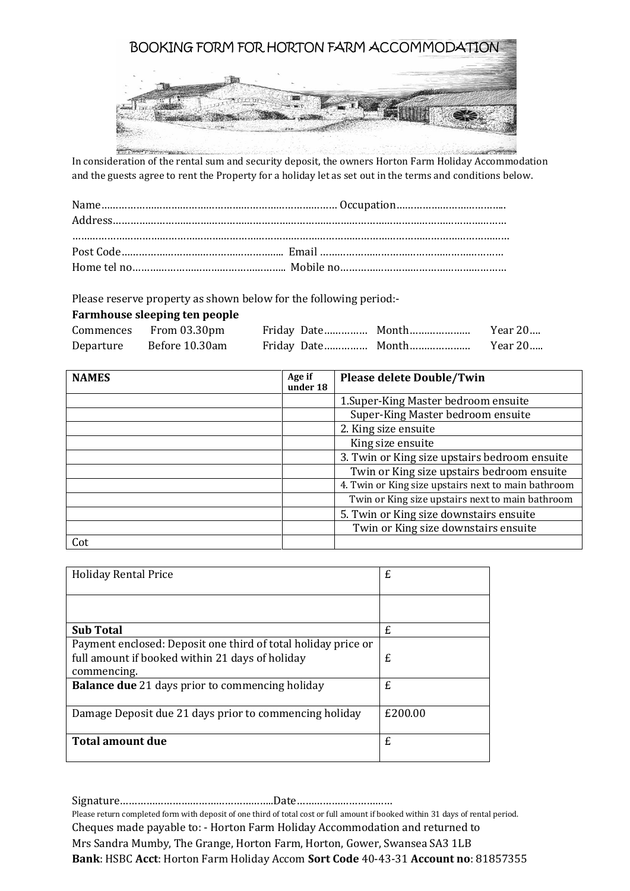

In consideration of the rental sum and security deposit, the owners Horton Farm Holiday Accommodation and the guests agree to rent the Property for a holiday let as set out in the terms and conditions below.

Please reserve property as shown below for the following period:-

## **Farmhouse sleeping ten people**

|           | Commences From 03.30pm |  |  |
|-----------|------------------------|--|--|
| Departure | Before 10.30am         |  |  |

| <b>NAMES</b> | Age if<br>under 18 | <b>Please delete Double/Twin</b>                    |
|--------------|--------------------|-----------------------------------------------------|
|              |                    |                                                     |
|              |                    | 1. Super-King Master bedroom ensuite                |
|              |                    | Super-King Master bedroom ensuite                   |
|              |                    | 2. King size ensuite                                |
|              |                    | King size ensuite                                   |
|              |                    | 3. Twin or King size upstairs bedroom ensuite       |
|              |                    | Twin or King size upstairs bedroom ensuite          |
|              |                    | 4. Twin or King size upstairs next to main bathroom |
|              |                    | Twin or King size upstairs next to main bathroom    |
|              |                    | 5. Twin or King size downstairs ensuite             |
|              |                    | Twin or King size downstairs ensuite                |
| Cot          |                    |                                                     |

| <b>Holiday Rental Price</b>                                   | £       |
|---------------------------------------------------------------|---------|
|                                                               |         |
| <b>Sub Total</b>                                              | £       |
| Payment enclosed: Deposit one third of total holiday price or |         |
| full amount if booked within 21 days of holiday               | £       |
| commencing.                                                   |         |
| <b>Balance due</b> 21 days prior to commencing holiday        | £       |
| Damage Deposit due 21 days prior to commencing holiday        | £200.00 |
| Total amount due                                              | £       |

Signature……………………………………………..Date……………………………

Please return completed form with deposit of one third of total cost or full amount if booked within 31 days of rental period. Cheques made payable to: - Horton Farm Holiday Accommodation and returned to Mrs Sandra Mumby, The Grange, Horton Farm, Horton, Gower, Swansea SA3 1LB **Bank**: HSBC **Acct**: Horton Farm Holiday Accom **Sort Code** 40-43-31 **Account no**: 81857355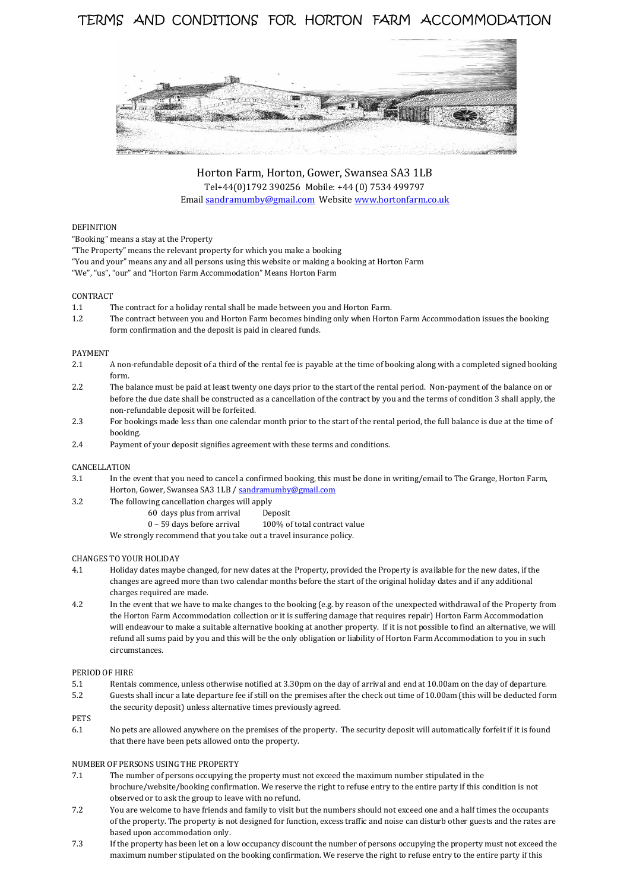# TERMS AND CONDITIONS FOR HORTON FARM ACCOMMODATION



Horton Farm, Horton, Gower, Swansea SA3 1LB Tel+44(0)1792 390256 Mobile: +44 (0) 7534 499797 Emai[l sandramumby@gmail.com](mailto:sandramumby@gmail.com) Websit[e www.hortonfarm.co.uk](http://www.hortonfarm.co.uk/)

## DEFINITION

"Booking" means a stay at the Property

"The Property" means the relevant property for which you make a booking

"You and your" means any and all persons using this website or making a booking at Horton Farm "We", "us", "our" and "Horton Farm Accommodation" Means Horton Farm

## CONTRACT

- 1.1 The contract for a holiday rental shall be made between you and Horton Farm.
- 1.2 The contract between you and Horton Farm becomes binding only when Horton Farm Accommodation issues the booking form confirmation and the deposit is paid in cleared funds.

## PAYMENT

- 2.1 A non-refundable deposit of a third of the rental fee is payable at the time of booking along with a completed signed booking form.
- 2.2 The balance must be paid at least twenty one days prior to the start of the rental period. Non-payment of the balance on or before the due date shall be constructed as a cancellation of the contract by you and the terms of condition 3 shall apply, the non-refundable deposit will be forfeited.
- 2.3 For bookings made less than one calendar month prior to the start of the rental period, the full balance is due at the time of booking.
- 2.4 Payment of your deposit signifies agreement with these terms and conditions.

## CANCELLATION

- 3.1 In the event that you need to cancel a confirmed booking, this must be done in writing/email to The Grange, Horton Farm, Horton, Gower, Swansea SA3 1LB [/ sandramumby@gmail.com](mailto:sandramumby@gmail.com)
- 3.2 The following cancellation charges will apply
	- 60 days plus from arrival Deposit
	- 0 59 days before arrival 100% of total contract value
	- We strongly recommend that you take out a travel insurance policy.

## CHANGES TO YOUR HOLIDAY

- 4.1 Holiday dates maybe changed, for new dates at the Property, provided the Property is available for the new dates, if the changes are agreed more than two calendar months before the start of the original holiday dates and if any additional charges required are made.
- 4.2 In the event that we have to make changes to the booking (e.g. by reason of the unexpected withdrawal of the Property from the Horton Farm Accommodation collection or it is suffering damage that requires repair) Horton Farm Accommodation will endeavour to make a suitable alternative booking at another property. If it is not possible to find an alternative, we will refund all sums paid by you and this will be the only obligation or liability of Horton Farm Accommodation to you in such circumstances.

### PERIOD OF HIRE

- 5.1 Rentals commence, unless otherwise notified at 3.30pm on the day of arrival and end at 10.00am on the day of departure.
- 5.2 Guests shall incur a late departure fee if still on the premises after the check out time of 10.00am (this will be deducted form the security deposit) unless alternative times previously agreed.

PETS

6.1 No pets are allowed anywhere on the premises of the property. The security deposit will automatically forfeit if it is found that there have been pets allowed onto the property.

#### NUMBER OF PERSONS USING THE PROPERTY

- 7.1 The number of persons occupying the property must not exceed the maximum number stipulated in the brochure/website/booking confirmation. We reserve the right to refuse entry to the entire party if this condition is not observed or to ask the group to leave with no refund.
- 7.2 You are welcome to have friends and family to visit but the numbers should not exceed one and a half times the occupants of the property. The property is not designed for function, excess traffic and noise can disturb other guests and the rates are based upon accommodation only.
- 7.3 If the property has been let on a low occupancy discount the number of persons occupying the property must not exceed the maximum number stipulated on the booking confirmation. We reserve the right to refuse entry to the entire party if this